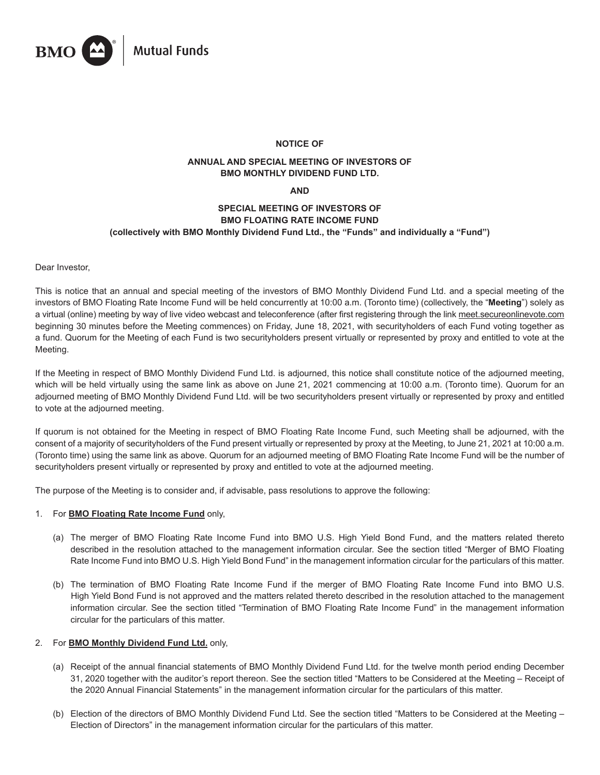

# **NOTICE OF**

# **ANNUAL AND SPECIAL MEETING OF INVESTORS OF BMO MONTHLY DIVIDEND FUND LTD.**

#### **AND**

# **SPECIAL MEETING OF INVESTORS OF BMO FLOATING RATE INCOME FUND (collectively with BMO Monthly Dividend Fund Ltd., the "Funds" and individually a "Fund")**

Dear Investor,

This is notice that an annual and special meeting of the investors of BMO Monthly Dividend Fund Ltd. and a special meeting of the investors of BMO Floating Rate Income Fund will be held concurrently at 10:00 a.m. (Toronto time) (collectively, the "**Meeting**") solely as a virtual (online) meeting by way of live video webcast and teleconference (after first registering through the link meet.secureonlinevote.com beginning 30 minutes before the Meeting commences) on Friday, June 18, 2021, with securityholders of each Fund voting together as a fund. Quorum for the Meeting of each Fund is two securityholders present virtually or represented by proxy and entitled to vote at the Meeting.

If the Meeting in respect of BMO Monthly Dividend Fund Ltd. is adjourned, this notice shall constitute notice of the adjourned meeting, which will be held virtually using the same link as above on June 21, 2021 commencing at 10:00 a.m. (Toronto time). Quorum for an adjourned meeting of BMO Monthly Dividend Fund Ltd. will be two securityholders present virtually or represented by proxy and entitled to vote at the adjourned meeting.

If quorum is not obtained for the Meeting in respect of BMO Floating Rate Income Fund, such Meeting shall be adjourned, with the consent of a majority of securityholders of the Fund present virtually or represented by proxy at the Meeting, to June 21, 2021 at 10:00 a.m. (Toronto time) using the same link as above. Quorum for an adjourned meeting of BMO Floating Rate Income Fund will be the number of securityholders present virtually or represented by proxy and entitled to vote at the adjourned meeting.

The purpose of the Meeting is to consider and, if advisable, pass resolutions to approve the following:

# 1. For **BMO Floating Rate Income Fund** only,

- (a) The merger of BMO Floating Rate Income Fund into BMO U.S. High Yield Bond Fund, and the matters related thereto described in the resolution attached to the management information circular. See the section titled "Merger of BMO Floating Rate Income Fund into BMO U.S. High Yield Bond Fund" in the management information circular for the particulars of this matter.
- (b) The termination of BMO Floating Rate Income Fund if the merger of BMO Floating Rate Income Fund into BMO U.S. High Yield Bond Fund is not approved and the matters related thereto described in the resolution attached to the management information circular. See the section titled "Termination of BMO Floating Rate Income Fund" in the management information circular for the particulars of this matter.

# 2. For **BMO Monthly Dividend Fund Ltd.** only,

- (a) Receipt of the annual financial statements of BMO Monthly Dividend Fund Ltd. for the twelve month period ending December 31, 2020 together with the auditor's report thereon. See the section titled "Matters to be Considered at the Meeting – Receipt of the 2020 Annual Financial Statements" in the management information circular for the particulars of this matter.
- (b) Election of the directors of BMO Monthly Dividend Fund Ltd. See the section titled "Matters to be Considered at the Meeting Election of Directors" in the management information circular for the particulars of this matter.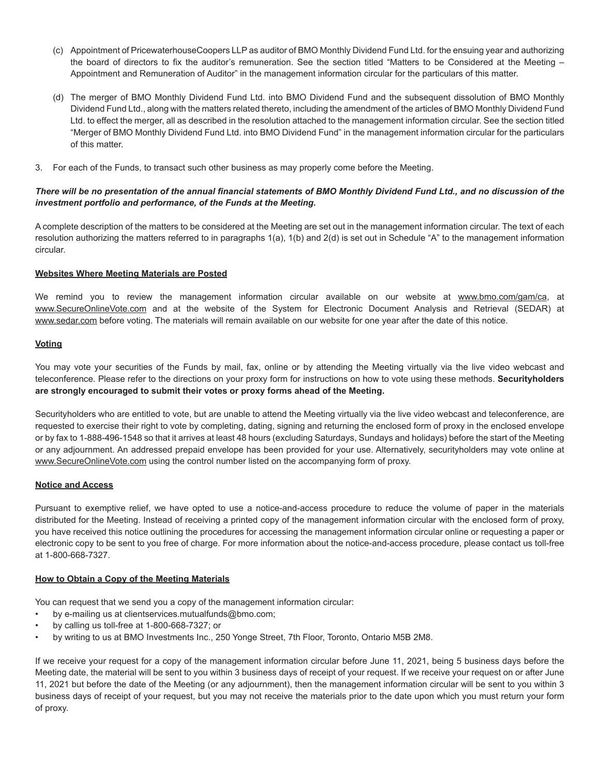- (c) Appointment of PricewaterhouseCoopers LLP as auditor of BMO Monthly Dividend Fund Ltd. for the ensuing year and authorizing the board of directors to fix the auditor's remuneration. See the section titled "Matters to be Considered at the Meeting – Appointment and Remuneration of Auditor" in the management information circular for the particulars of this matter.
- (d) The merger of BMO Monthly Dividend Fund Ltd. into BMO Dividend Fund and the subsequent dissolution of BMO Monthly Dividend Fund Ltd., along with the matters related thereto, including the amendment of the articles of BMO Monthly Dividend Fund Ltd. to effect the merger, all as described in the resolution attached to the management information circular. See the section titled "Merger of BMO Monthly Dividend Fund Ltd. into BMO Dividend Fund" in the management information circular for the particulars of this matter.
- 3. For each of the Funds, to transact such other business as may properly come before the Meeting.

# *There will be no presentation of the annual financial statements of BMO Monthly Dividend Fund Ltd., and no discussion of the investment portfolio and performance, of the Funds at the Meeting.*

A complete description of the matters to be considered at the Meeting are set out in the management information circular. The text of each resolution authorizing the matters referred to in paragraphs 1(a), 1(b) and 2(d) is set out in Schedule "A" to the management information circular.

# **Websites Where Meeting Materials are Posted**

We remind you to review the management information circular available on our website at www.bmo.com/gam/ca, at www.SecureOnlineVote.com and at the website of the System for Electronic Document Analysis and Retrieval (SEDAR) at www.sedar.com before voting. The materials will remain available on our website for one year after the date of this notice.

### **Voting**

You may vote your securities of the Funds by mail, fax, online or by attending the Meeting virtually via the live video webcast and teleconference. Please refer to the directions on your proxy form for instructions on how to vote using these methods. **Securityholders are strongly encouraged to submit their votes or proxy forms ahead of the Meeting.**

Securityholders who are entitled to vote, but are unable to attend the Meeting virtually via the live video webcast and teleconference, are requested to exercise their right to vote by completing, dating, signing and returning the enclosed form of proxy in the enclosed envelope or by fax to 1-888-496-1548 so that it arrives at least 48 hours (excluding Saturdays, Sundays and holidays) before the start of the Meeting or any adjournment. An addressed prepaid envelope has been provided for your use. Alternatively, securityholders may vote online at www.SecureOnlineVote.com using the control number listed on the accompanying form of proxy.

#### **Notice and Access**

Pursuant to exemptive relief, we have opted to use a notice-and-access procedure to reduce the volume of paper in the materials distributed for the Meeting. Instead of receiving a printed copy of the management information circular with the enclosed form of proxy, you have received this notice outlining the procedures for accessing the management information circular online or requesting a paper or electronic copy to be sent to you free of charge. For more information about the notice-and-access procedure, please contact us toll-free at 1-800-668-7327.

# **How to Obtain a Copy of the Meeting Materials**

You can request that we send you a copy of the management information circular:

- by e-mailing us at clientservices.mutualfunds@bmo.com;
- by calling us toll-free at 1-800-668-7327; or
- by writing to us at BMO Investments Inc., 250 Yonge Street, 7th Floor, Toronto, Ontario M5B 2M8.

If we receive your request for a copy of the management information circular before June 11, 2021, being 5 business days before the Meeting date, the material will be sent to you within 3 business days of receipt of your request. If we receive your request on or after June 11, 2021 but before the date of the Meeting (or any adjournment), then the management information circular will be sent to you within 3 business days of receipt of your request, but you may not receive the materials prior to the date upon which you must return your form of proxy.